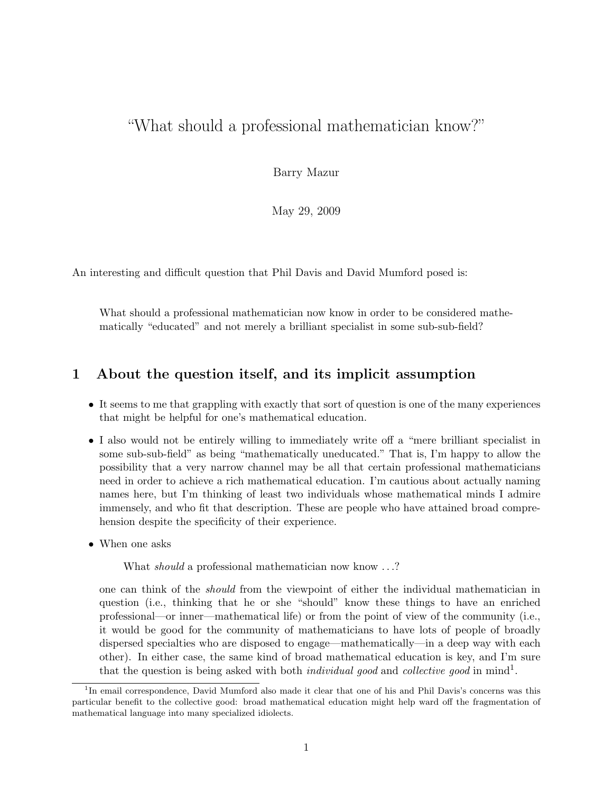# "What should a professional mathematician know?"

Barry Mazur

May 29, 2009

An interesting and difficult question that Phil Davis and David Mumford posed is:

What should a professional mathematician now know in order to be considered mathematically "educated" and not merely a brilliant specialist in some sub-sub-field?

## 1 About the question itself, and its implicit assumption

- It seems to me that grappling with exactly that sort of question is one of the many experiences that might be helpful for one's mathematical education.
- I also would not be entirely willing to immediately write off a "mere brilliant specialist in some sub-sub-field" as being "mathematically uneducated." That is, I'm happy to allow the possibility that a very narrow channel may be all that certain professional mathematicians need in order to achieve a rich mathematical education. I'm cautious about actually naming names here, but I'm thinking of least two individuals whose mathematical minds I admire immensely, and who fit that description. These are people who have attained broad comprehension despite the specificity of their experience.
- When one asks

What *should* a professional mathematician now know ...?

one can think of the should from the viewpoint of either the individual mathematician in question (i.e., thinking that he or she "should" know these things to have an enriched professional—or inner—mathematical life) or from the point of view of the community (i.e., it would be good for the community of mathematicians to have lots of people of broadly dispersed specialties who are disposed to engage—mathematically—in a deep way with each other). In either case, the same kind of broad mathematical education is key, and I'm sure that the question is being asked with both *individual good* and *collective good* in mind<sup>1</sup>.

<sup>&</sup>lt;sup>1</sup>In email correspondence, David Mumford also made it clear that one of his and Phil Davis's concerns was this particular benefit to the collective good: broad mathematical education might help ward off the fragmentation of mathematical language into many specialized idiolects.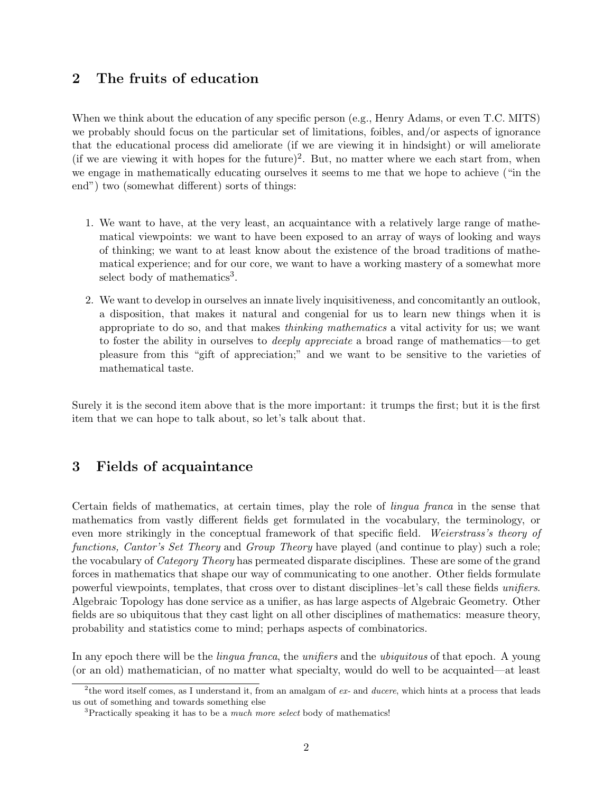### 2 The fruits of education

When we think about the education of any specific person (e.g., Henry Adams, or even T.C. MITS) we probably should focus on the particular set of limitations, foibles, and/or aspects of ignorance that the educational process did ameliorate (if we are viewing it in hindsight) or will ameliorate (if we are viewing it with hopes for the future)<sup>2</sup>. But, no matter where we each start from, when we engage in mathematically educating ourselves it seems to me that we hope to achieve ("in the end") two (somewhat different) sorts of things:

- 1. We want to have, at the very least, an acquaintance with a relatively large range of mathematical viewpoints: we want to have been exposed to an array of ways of looking and ways of thinking; we want to at least know about the existence of the broad traditions of mathematical experience; and for our core, we want to have a working mastery of a somewhat more select body of mathematics<sup>3</sup>.
- 2. We want to develop in ourselves an innate lively inquisitiveness, and concomitantly an outlook, a disposition, that makes it natural and congenial for us to learn new things when it is appropriate to do so, and that makes thinking mathematics a vital activity for us; we want to foster the ability in ourselves to *deeply appreciate* a broad range of mathematics—to get pleasure from this "gift of appreciation;" and we want to be sensitive to the varieties of mathematical taste.

Surely it is the second item above that is the more important: it trumps the first; but it is the first item that we can hope to talk about, so let's talk about that.

#### 3 Fields of acquaintance

Certain fields of mathematics, at certain times, play the role of lingua franca in the sense that mathematics from vastly different fields get formulated in the vocabulary, the terminology, or even more strikingly in the conceptual framework of that specific field. Weierstrass's theory of functions, Cantor's Set Theory and Group Theory have played (and continue to play) such a role; the vocabulary of Category Theory has permeated disparate disciplines. These are some of the grand forces in mathematics that shape our way of communicating to one another. Other fields formulate powerful viewpoints, templates, that cross over to distant disciplines–let's call these fields unifiers. Algebraic Topology has done service as a unifier, as has large aspects of Algebraic Geometry. Other fields are so ubiquitous that they cast light on all other disciplines of mathematics: measure theory, probability and statistics come to mind; perhaps aspects of combinatorics.

In any epoch there will be the *lingua franca*, the *unifiers* and the *ubiquitous* of that epoch. A young (or an old) mathematician, of no matter what specialty, would do well to be acquainted—at least

<sup>&</sup>lt;sup>2</sup>the word itself comes, as I understand it, from an amalgam of  $ex$ - and ducere, which hints at a process that leads us out of something and towards something else

 $3$ Practically speaking it has to be a *much more select* body of mathematics!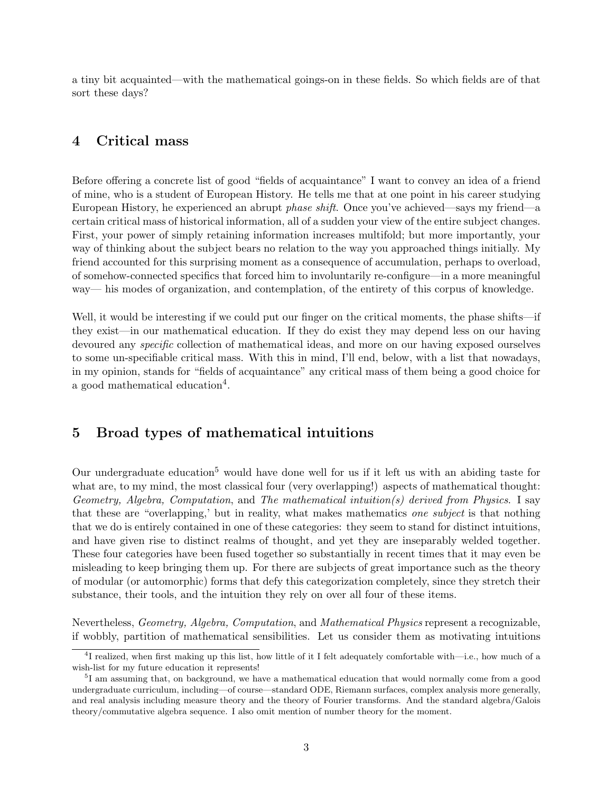a tiny bit acquainted—with the mathematical goings-on in these fields. So which fields are of that sort these days?

#### 4 Critical mass

Before offering a concrete list of good "fields of acquaintance" I want to convey an idea of a friend of mine, who is a student of European History. He tells me that at one point in his career studying European History, he experienced an abrupt phase shift. Once you've achieved—says my friend—a certain critical mass of historical information, all of a sudden your view of the entire subject changes. First, your power of simply retaining information increases multifold; but more importantly, your way of thinking about the subject bears no relation to the way you approached things initially. My friend accounted for this surprising moment as a consequence of accumulation, perhaps to overload, of somehow-connected specifics that forced him to involuntarily re-configure—in a more meaningful way— his modes of organization, and contemplation, of the entirety of this corpus of knowledge.

Well, it would be interesting if we could put our finger on the critical moments, the phase shifts—if they exist—in our mathematical education. If they do exist they may depend less on our having devoured any *specific* collection of mathematical ideas, and more on our having exposed ourselves to some un-specifiable critical mass. With this in mind, I'll end, below, with a list that nowadays, in my opinion, stands for "fields of acquaintance" any critical mass of them being a good choice for a good mathematical education<sup>4</sup>.

#### 5 Broad types of mathematical intuitions

Our undergraduate education<sup>5</sup> would have done well for us if it left us with an abiding taste for what are, to my mind, the most classical four (very overlapping!) aspects of mathematical thought: Geometry, Algebra, Computation, and The mathematical intuition(s) derived from Physics. I say that these are "overlapping,' but in reality, what makes mathematics one subject is that nothing that we do is entirely contained in one of these categories: they seem to stand for distinct intuitions, and have given rise to distinct realms of thought, and yet they are inseparably welded together. These four categories have been fused together so substantially in recent times that it may even be misleading to keep bringing them up. For there are subjects of great importance such as the theory of modular (or automorphic) forms that defy this categorization completely, since they stretch their substance, their tools, and the intuition they rely on over all four of these items.

Nevertheless, Geometry, Algebra, Computation, and Mathematical Physics represent a recognizable, if wobbly, partition of mathematical sensibilities. Let us consider them as motivating intuitions

<sup>4</sup> I realized, when first making up this list, how little of it I felt adequately comfortable with—i.e., how much of a wish-list for my future education it represents!

<sup>&</sup>lt;sup>5</sup>I am assuming that, on background, we have a mathematical education that would normally come from a good undergraduate curriculum, including—of course—standard ODE, Riemann surfaces, complex analysis more generally, and real analysis including measure theory and the theory of Fourier transforms. And the standard algebra/Galois theory/commutative algebra sequence. I also omit mention of number theory for the moment.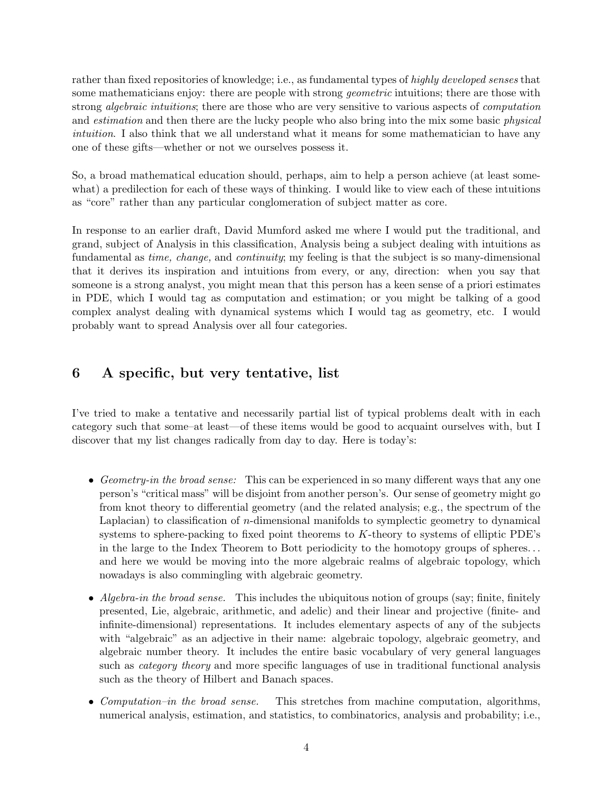rather than fixed repositories of knowledge; i.e., as fundamental types of highly developed senses that some mathematicians enjoy: there are people with strong *geometric* intuitions; there are those with strong *algebraic intuitions*; there are those who are very sensitive to various aspects of *computation* and *estimation* and then there are the lucky people who also bring into the mix some basic *physical* intuition. I also think that we all understand what it means for some mathematician to have any one of these gifts—whether or not we ourselves possess it.

So, a broad mathematical education should, perhaps, aim to help a person achieve (at least somewhat) a predilection for each of these ways of thinking. I would like to view each of these intuitions as "core" rather than any particular conglomeration of subject matter as core.

In response to an earlier draft, David Mumford asked me where I would put the traditional, and grand, subject of Analysis in this classification, Analysis being a subject dealing with intuitions as fundamental as *time, change,* and *continuity*; my feeling is that the subject is so many-dimensional that it derives its inspiration and intuitions from every, or any, direction: when you say that someone is a strong analyst, you might mean that this person has a keen sense of a priori estimates in PDE, which I would tag as computation and estimation; or you might be talking of a good complex analyst dealing with dynamical systems which I would tag as geometry, etc. I would probably want to spread Analysis over all four categories.

# 6 A specific, but very tentative, list

I've tried to make a tentative and necessarily partial list of typical problems dealt with in each category such that some–at least—of these items would be good to acquaint ourselves with, but I discover that my list changes radically from day to day. Here is today's:

- Geometry-in the broad sense: This can be experienced in so many different ways that any one person's "critical mass" will be disjoint from another person's. Our sense of geometry might go from knot theory to differential geometry (and the related analysis; e.g., the spectrum of the Laplacian) to classification of  $n$ -dimensional manifolds to symplectic geometry to dynamical systems to sphere-packing to fixed point theorems to K-theory to systems of elliptic PDE's in the large to the Index Theorem to Bott periodicity to the homotopy groups of spheres. . . and here we would be moving into the more algebraic realms of algebraic topology, which nowadays is also commingling with algebraic geometry.
- Algebra-in the broad sense. This includes the ubiquitous notion of groups (say; finite, finitely presented, Lie, algebraic, arithmetic, and adelic) and their linear and projective (finite- and infinite-dimensional) representations. It includes elementary aspects of any of the subjects with "algebraic" as an adjective in their name: algebraic topology, algebraic geometry, and algebraic number theory. It includes the entire basic vocabulary of very general languages such as *category theory* and more specific languages of use in traditional functional analysis such as the theory of Hilbert and Banach spaces.
- *Computation–in the broad sense.* This stretches from machine computation, algorithms, numerical analysis, estimation, and statistics, to combinatorics, analysis and probability; i.e.,